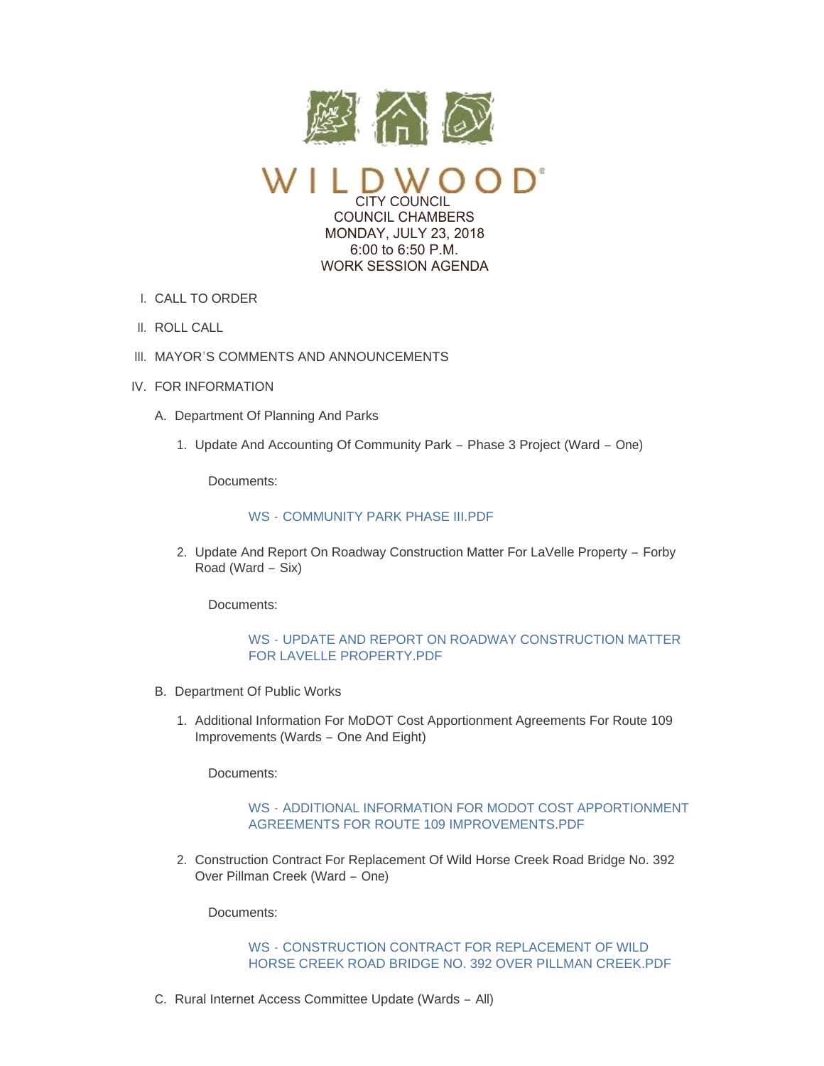

CITY COUNCIL COUNCIL CHAMBERS MONDAY, JULY 23, 2018 6:00 to 6:50 P.M. WORK SESSION AGENDA

- CALL TO ORDER I.
- II. ROLL CALL
- III. MAYOR'S COMMENTS AND ANNOUNCEMENTS
- IV. FOR INFORMATION
	- A. Department Of Planning And Parks
		- 1. Update And Accounting Of Community Park Phase 3 Project (Ward One)

Documents:

## WS - COMMUNITY PARK PHASE III PDF

2. Update And Report On Roadway Construction Matter For LaVelle Property - Forby Road (Ward – Six)

Documents:

# WS - [UPDATE AND REPORT ON ROADWAY CONSTRUCTION MATTER](https://www.cityofwildwood.com/AgendaCenter/ViewFile/Item/16351?fileID=23779)  FOR LAVELLE PROPERTY.PDF

- B. Department Of Public Works
	- 1. Additional Information For MoDOT Cost Apportionment Agreements For Route 109 Improvements (Wards – One And Eight)

Documents:

## WS - [ADDITIONAL INFORMATION FOR MODOT COST APPORTIONMENT](https://www.cityofwildwood.com/AgendaCenter/ViewFile/Item/16353?fileID=23798)  AGREEMENTS FOR ROUTE 109 IMPROVEMENTS.PDF

2. Construction Contract For Replacement Of Wild Horse Creek Road Bridge No. 392 Over Pillman Creek (Ward – One)

Documents:

#### WS - CONSTRUCTION CONTRACT FOR REPLACEMENT OF WILD [HORSE CREEK ROAD BRIDGE NO. 392 OVER PILLMAN CREEK.PDF](https://www.cityofwildwood.com/AgendaCenter/ViewFile/Item/16354?fileID=23797)

C. Rural Internet Access Committee Update (Wards - All)